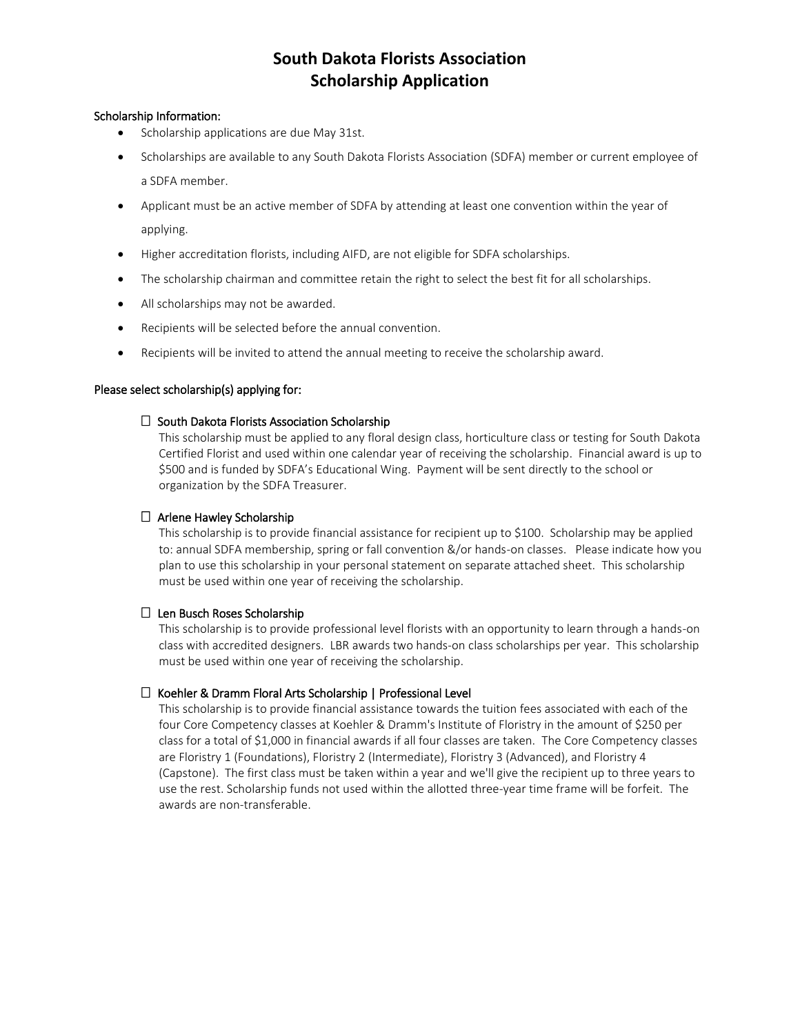# **South Dakota Florists Association Scholarship Application**

# Scholarship Information:

- Scholarship applications are due May 31st.
- Scholarships are available to any South Dakota Florists Association (SDFA) member or current employee of a SDFA member.
- Applicant must be an active member of SDFA by attending at least one convention within the year of applying.
- Higher accreditation florists, including AIFD, are not eligible for SDFA scholarships.
- The scholarship chairman and committee retain the right to select the best fit for all scholarships.
- All scholarships may not be awarded.
- Recipients will be selected before the annual convention.
- Recipients will be invited to attend the annual meeting to receive the scholarship award.

#### Please select scholarship(s) applying for:

#### $\Box$  South Dakota Florists Association Scholarship

This scholarship must be applied to any floral design class, horticulture class or testing for South Dakota Certified Florist and used within one calendar year of receiving the scholarship. Financial award is up to \$500 and is funded by SDFA's Educational Wing. Payment will be sent directly to the school or organization by the SDFA Treasurer.

### $\Box$  Arlene Hawley Scholarship

This scholarship is to provide financial assistance for recipient up to \$100. Scholarship may be applied to: annual SDFA membership, spring or fall convention &/or hands-on classes. Please indicate how you plan to use this scholarship in your personal statement on separate attached sheet. This scholarship must be used within one year of receiving the scholarship.

# $\Box$  Len Busch Roses Scholarship

This scholarship is to provide professional level florists with an opportunity to learn through a hands-on class with accredited designers. LBR awards two hands-on class scholarships per year. This scholarship must be used within one year of receiving the scholarship.

# $\Box$  Koehler & Dramm Floral Arts Scholarship | Professional Level

This scholarship is to provide financial assistance towards the tuition fees associated with each of the four Core Competency classes at Koehler & Dramm's Institute of Floristry in the amount of \$250 per class for a total of \$1,000 in financial awards if all four classes are taken. The Core Competency classes are Floristry 1 (Foundations), Floristry 2 (Intermediate), Floristry 3 (Advanced), and Floristry 4 (Capstone). The first class must be taken within a year and we'll give the recipient up to three years to use the rest. Scholarship funds not used within the allotted three-year time frame will be forfeit. The awards are non-transferable.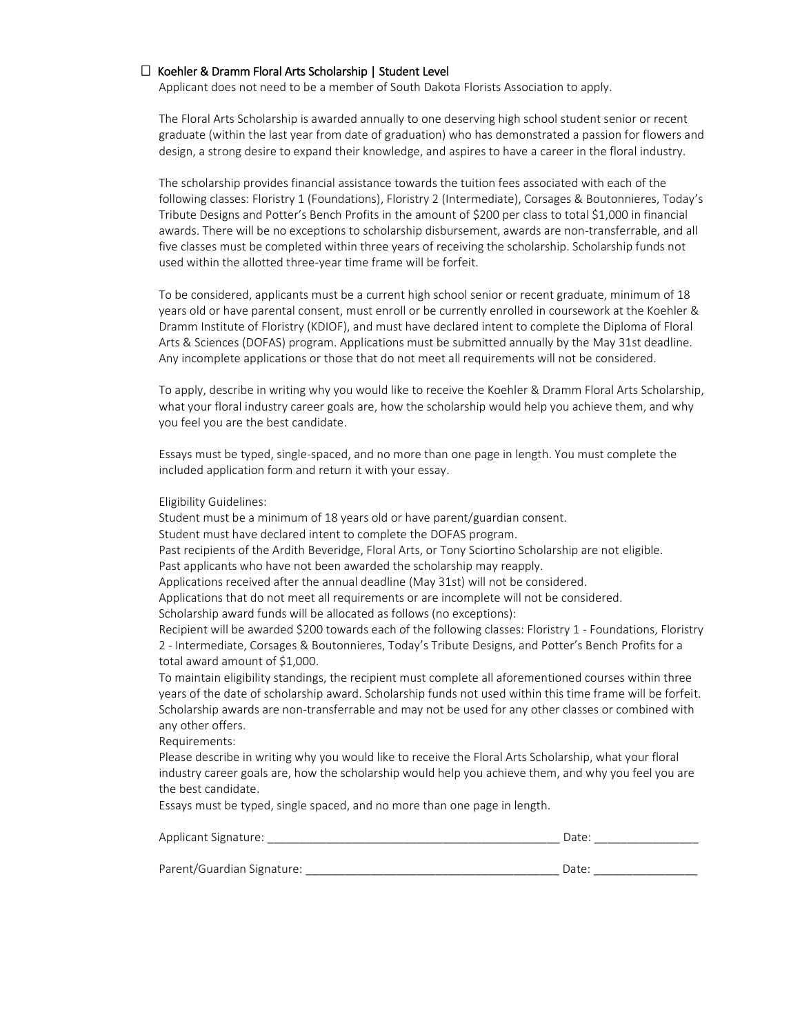#### $\Box$  Koehler & Dramm Floral Arts Scholarship | Student Level

Applicant does not need to be a member of South Dakota Florists Association to apply.

The Floral Arts Scholarship is awarded annually to one deserving high school student senior or recent graduate (within the last year from date of graduation) who has demonstrated a passion for flowers and design, a strong desire to expand their knowledge, and aspires to have a career in the floral industry.

The scholarship provides financial assistance towards the tuition fees associated with each of the following classes: Floristry 1 (Foundations), Floristry 2 (Intermediate), Corsages & Boutonnieres, Today's Tribute Designs and Potter's Bench Profits in the amount of \$200 per class to total \$1,000 in financial awards. There will be no exceptions to scholarship disbursement, awards are non-transferrable, and all five classes must be completed within three years of receiving the scholarship. Scholarship funds not used within the allotted three-year time frame will be forfeit.

To be considered, applicants must be a current high school senior or recent graduate, minimum of 18 years old or have parental consent, must enroll or be currently enrolled in coursework at the Koehler & Dramm Institute of Floristry (KDIOF), and must have declared intent to complete the Diploma of Floral Arts & Sciences (DOFAS) program. Applications must be submitted annually by the May 31st deadline. Any incomplete applications or those that do not meet all requirements will not be considered.

To apply, describe in writing why you would like to receive the Koehler & Dramm Floral Arts Scholarship, what your floral industry career goals are, how the scholarship would help you achieve them, and why you feel you are the best candidate.

Essays must be typed, single-spaced, and no more than one page in length. You must complete the included application form and return it with your essay.

#### Eligibility Guidelines:

Student must be a minimum of 18 years old or have parent/guardian consent.

Student must have declared intent to complete the DOFAS program.

Past recipients of the Ardith Beveridge, Floral Arts, or Tony Sciortino Scholarship are not eligible.

Past applicants who have not been awarded the scholarship may reapply.

Applications received after the annual deadline (May 31st) will not be considered.

Applications that do not meet all requirements or are incomplete will not be considered.

Scholarship award funds will be allocated as follows (no exceptions):

Recipient will be awarded \$200 towards each of the following classes: Floristry 1 - Foundations, Floristry 2 - Intermediate, Corsages & Boutonnieres, Today's Tribute Designs, and Potter's Bench Profits for a total award amount of \$1,000.

To maintain eligibility standings, the recipient must complete all aforementioned courses within three years of the date of scholarship award. Scholarship funds not used within this time frame will be forfeit. Scholarship awards are non-transferrable and may not be used for any other classes or combined with any other offers.

Requirements:

Please describe in writing why you would like to receive the Floral Arts Scholarship, what your floral industry career goals are, how the scholarship would help you achieve them, and why you feel you are the best candidate.

Essays must be typed, single spaced, and no more than one page in length.

| Applicant Signature:       | Date: |
|----------------------------|-------|
|                            |       |
| Parent/Guardian Signature: | Date: |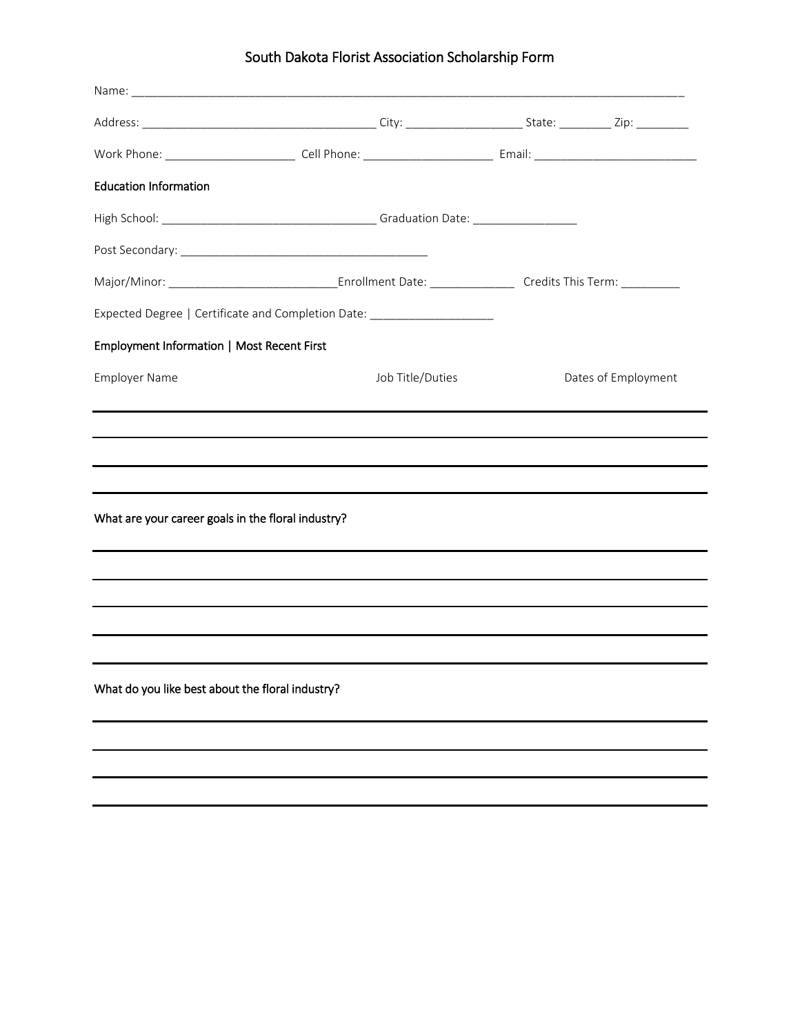# South Dakota Florist Association Scholarship Form

| <b>Education Information</b>                       |                                                                                  |  |                     |
|----------------------------------------------------|----------------------------------------------------------------------------------|--|---------------------|
|                                                    |                                                                                  |  |                     |
|                                                    |                                                                                  |  |                     |
|                                                    |                                                                                  |  |                     |
|                                                    | Expected Degree   Certificate and Completion Date: _____________________________ |  |                     |
| Employment Information   Most Recent First         |                                                                                  |  |                     |
| <b>Employer Name</b>                               | Job Title/Duties                                                                 |  | Dates of Employment |
|                                                    |                                                                                  |  |                     |
|                                                    |                                                                                  |  |                     |
|                                                    |                                                                                  |  |                     |
| What are your career goals in the floral industry? |                                                                                  |  |                     |
|                                                    |                                                                                  |  |                     |
|                                                    |                                                                                  |  |                     |
|                                                    |                                                                                  |  |                     |
|                                                    |                                                                                  |  |                     |
| What do you like best about the floral industry?   |                                                                                  |  |                     |
|                                                    |                                                                                  |  |                     |
|                                                    |                                                                                  |  |                     |
|                                                    |                                                                                  |  |                     |